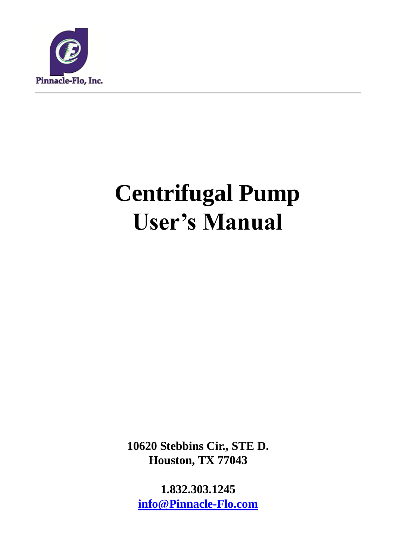

# **Centrifugal Pump User's Manual**

**10620 Stebbins Cir., STE D. Houston, TX 77043**

**1.832.303.1245 [info@Pinnacle-Flo.com](mailto:info@Pinnacle-Flo.com)**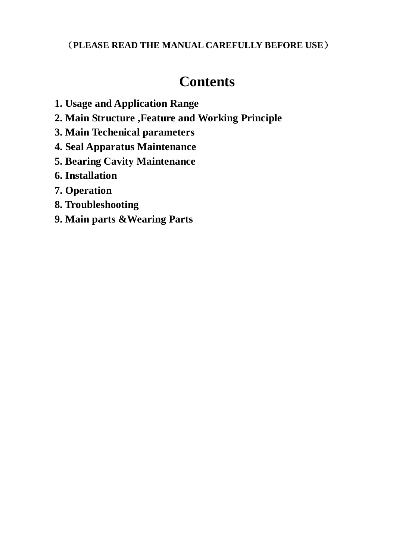#### (**PLEASE READ THE MANUAL CAREFULLY BEFORE USE**)

# **Contents**

- **1. Usage and Application Range**
- **2. Main Structure ,Feature and Working Principle**
- **3. Main Techenical parameters**
- **4. Seal Apparatus Maintenance**
- **5. Bearing Cavity Maintenance**
- **6. Installation**
- **7. Operation**
- **8. Troubleshooting**
- **9. Main parts &Wearing Parts**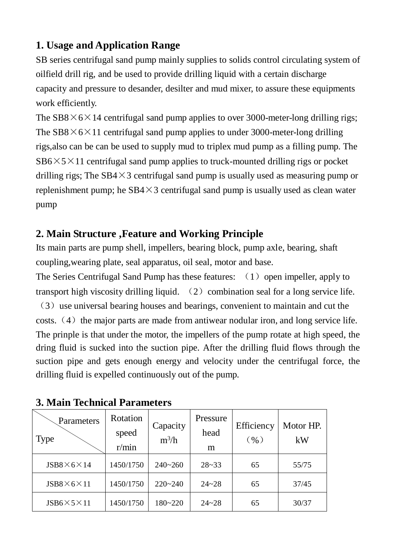## **1. Usage and Application Range**

SB series centrifugal sand pump mainly supplies to solids control circulating system of oilfield drill rig, and be used to provide drilling liquid with a certain discharge capacity and pressure to desander, desilter and mud mixer, to assure these equipments work efficiently.

The  $SB8\times6\times14$  centrifugal sand pump applies to over 3000-meter-long drilling rigs; The  $SB8\times 6\times 11$  centrifugal sand pump applies to under 3000-meter-long drilling rigs,also can be can be used to supply mud to triplex mud pump as a filling pump. The  $SB6\times5\times11$  centrifugal sand pump applies to truck-mounted drilling rigs or pocket drilling rigs; The  $SB4\times3$  centrifugal sand pump is usually used as measuring pump or replenishment pump; he  $SB4\times3$  centrifugal sand pump is usually used as clean water pump

### **2. Main Structure ,Feature and Working Principle**

Its main parts are pump shell, impellers, bearing block, pump axle, bearing, shaft coupling,wearing plate, seal apparatus, oil seal, motor and base.

The Series Centrifugal Sand Pump has these features:  $(1)$  open impeller, apply to transport high viscosity drilling liquid.  $(2)$  combination seal for a long service life.

(3)use universal bearing houses and bearings, convenient to maintain and cut the costs.  $(4)$  the major parts are made from antiwear nodular iron, and long service life. The prinple is that under the motor, the impellers of the pump rotate at high speed, the dring fluid is sucked into the suction pipe. After the drilling fluid flows through the suction pipe and gets enough energy and velocity under the centrifugal force, the drilling fluid is expelled continuously out of the pump.

| Parameters<br>Type        | Rotation<br>speed<br>r/min | Capacity<br>$m^3/h$ | Pressure<br>head<br>m | Efficiency<br>$(\%)$ | Motor HP.<br>kW |
|---------------------------|----------------------------|---------------------|-----------------------|----------------------|-----------------|
| $JSB8\times 6\times 14$   | 1450/1750                  | $240 - 260$         | $28 - 33$             | 65                   | 55/75           |
| $JSB8\times 6\times 11$   | 1450/1750                  | $220 - 240$         | $24 - 28$             | 65                   | 37/45           |
| $JSB6 \times 5 \times 11$ | 1450/1750                  | $180 - 220$         | $24 - 28$             | 65                   | 30/37           |

#### **3. Main Technical Parameters**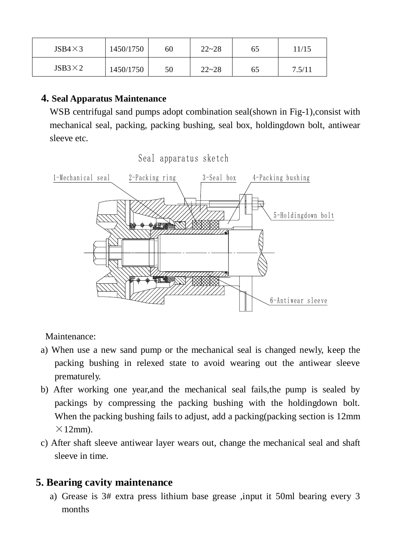| $JSB4\times3$ | 1450/1750 | 60 | $22 - 28$ | 65 | 11/15  |
|---------------|-----------|----|-----------|----|--------|
| $JSB3\times2$ | 1450/1750 | 50 | $22 - 28$ | 65 | 7.5/11 |

#### **4. Seal Apparatus Maintenance**

WSB centrifugal sand pumps adopt combination seal(shown in Fig-1), consist with mechanical seal, packing, packing bushing, seal box, holdingdown bolt, antiwear sleeve etc.



Maintenance:

- a) When use a new sand pump or the mechanical seal is changed newly, keep the packing bushing in relexed state to avoid wearing out the antiwear sleeve prematurely.
- b) After working one year,and the mechanical seal fails,the pump is sealed by packings by compressing the packing bushing with the holdingdown bolt. When the packing bushing fails to adjust, add a packing(packing section is 12mm  $\times$ 12mm).
- c) After shaft sleeve antiwear layer wears out, change the mechanical seal and shaft sleeve in time.

#### **5. Bearing cavity maintenance**

a) Grease is 3# extra press lithium base grease ,input it 50ml bearing every 3 months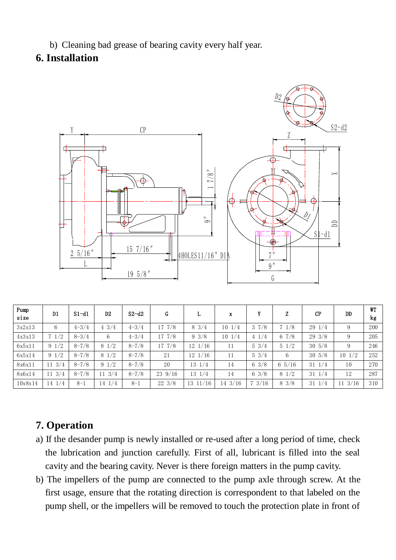b) Cleaning bad grease of bearing cavity every half year.

#### **6. Installation**



| Pump<br>size | D1               | $S1-d1$   | D <sub>2</sub>   | $S2-d2$   | G                | L                    | x                 | v                | Z               | <b>CP</b>        | DD                | <b>WT</b><br>kg |
|--------------|------------------|-----------|------------------|-----------|------------------|----------------------|-------------------|------------------|-----------------|------------------|-------------------|-----------------|
| 3x2x13       | 6                | $4 - 3/4$ | $4 \frac{3}{4}$  | $4 - 3/4$ | $17 \frac{7}{8}$ | $8 \frac{3}{4}$      | $10 \frac{1}{4}$  | $3 \frac{7}{8}$  | $7 \frac{1}{8}$ | $29 \frac{1}{4}$ | 9                 | 200             |
| 4x3x13       | $7 \frac{1}{2}$  | $8 - 3/4$ | 6                | $4 - 3/4$ | $17 \t7/8$       | $9 \frac{3}{8}$      | $10 \frac{1}{4}$  | $4 \frac{1}{4}$  | 67/8            | $29 \frac{3}{8}$ | 9                 | 205             |
| 6x5x11       | $9 \frac{1}{2}$  | $8 - 7/8$ | $8\;1/2$         | $8 - 7/8$ | $17 \frac{7}{8}$ | $12 \frac{1}{16}$    | 11                | $5 \frac{3}{4}$  | $5 \frac{1}{2}$ | $30 \frac{5}{8}$ | 9                 | 246             |
| 6x5x14       | $9 \frac{1}{2}$  | $8 - 7/8$ | $8\frac{1}{2}$   | $8 - 7/8$ | 21               | $12 \frac{1}{16}$    | 11                | $5 \frac{3}{4}$  | 6               | $30 \frac{5}{8}$ | $10 \frac{1}{2}$  | 252             |
| 8x6x11       | $11 \frac{3}{4}$ | $8 - 7/8$ | $9 \frac{1}{2}$  | $8 - 7/8$ | 20               | $13 \frac{1}{4}$     | 14                | $6 \frac{3}{8}$  | 65/16           | $31 \frac{1}{4}$ | 10                | 270             |
| 8x6x14       | $11 \frac{3}{4}$ | $8 - 7/8$ | $11 \frac{3}{4}$ | $8 - 7/8$ | $23\;9/16$       | $13 \frac{1}{4}$     | 14                | $6 \frac{3}{8}$  | $8\;1/2$        | $31 \frac{1}{4}$ | 12                | 287             |
| 10x8x14      | 1/4<br>14        | $8 - 1$   | 14 1/4           | $8 - 1$   | $22 \frac{3}{8}$ | $13 \ \frac{11}{16}$ | $14 \frac{3}{16}$ | $7 \frac{3}{16}$ | $8 \frac{3}{8}$ | 31<br>1/4        | $11 \frac{3}{16}$ | 310             |

#### **7. Operation**

- a) If the desander pump is newly installed or re-used after a long period of time, check the lubrication and junction carefully. First of all, lubricant is filled into the seal cavity and the bearing cavity. Never is there foreign matters in the pump cavity.
- b) The impellers of the pump are connected to the pump axle through screw. At the first usage, ensure that the rotating direction is correspondent to that labeled on the pump shell, or the impellers will be removed to touch the protection plate in front of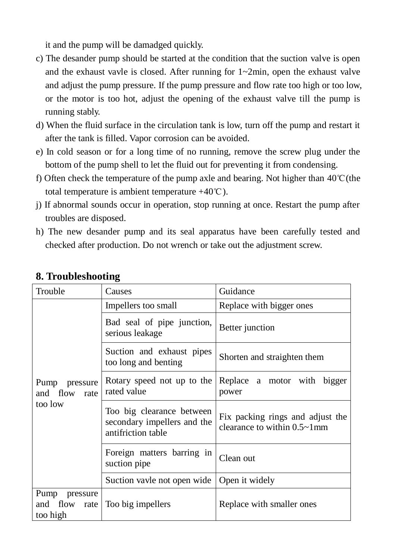it and the pump will be damadged quickly.

- c) The desander pump should be started at the condition that the suction valve is open and the exhaust vavle is closed. After running for 1~2min, open the exhaust valve and adjust the pump pressure. If the pump pressure and flow rate too high or too low, or the motor is too hot, adjust the opening of the exhaust valve till the pump is running stably.
- d) When the fluid surface in the circulation tank is low, turn off the pump and restart it after the tank is filled. Vapor corrosion can be avoided.
- e) In cold season or for a long time of no running, remove the screw plug under the bottom of the pump shell to let the fluid out for preventing it from condensing.
- f) Often check the temperature of the pump axle and bearing. Not higher than 40℃(the total temperature is ambient temperature  $+40^{\circ}\text{C}$ ).
- j) If abnormal sounds occur in operation, stop running at once. Restart the pump after troubles are disposed.
- h) The new desander pump and its seal apparatus have been carefully tested and checked after production. Do not wrench or take out the adjustment screw.

| Trouble                                       | Causes                                                                         | Guidance                                                                |  |
|-----------------------------------------------|--------------------------------------------------------------------------------|-------------------------------------------------------------------------|--|
|                                               | Impellers too small                                                            | Replace with bigger ones                                                |  |
|                                               | Bad seal of pipe junction,<br>serious leakage                                  | Better junction                                                         |  |
|                                               | Suction and exhaust pipes<br>too long and benting                              | Shorten and straighten them                                             |  |
| Pump pressure<br>and flow<br>rate             | Rotary speed not up to the<br>rated value                                      | Replace a motor with bigger<br>power                                    |  |
| too low                                       | Too big clearance between<br>secondary impellers and the<br>antifriction table | Fix packing rings and adjust the<br>clearance to within $0.5 \sim 1$ mm |  |
|                                               | Foreign matters barring in<br>suction pipe                                     | Clean out                                                               |  |
|                                               | Suction vayle not open wide                                                    | Open it widely                                                          |  |
| Pump pressure<br>and flow<br>rate<br>too high | Too big impellers                                                              | Replace with smaller ones                                               |  |

#### **8. Troubleshooting**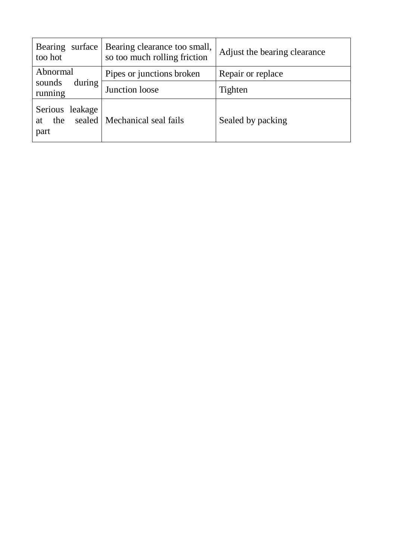| surface<br>Bearing<br>too hot                    | Bearing clearance too small,<br>so too much rolling friction | Adjust the bearing clearance |
|--------------------------------------------------|--------------------------------------------------------------|------------------------------|
| Abnormal                                         | Pipes or junctions broken                                    | Repair or replace            |
| during<br>sounds<br>running                      | Junction loose                                               | Tighten                      |
| Serious leakage<br>sealed  <br>the<br>at<br>part | Mechanical seal fails                                        | Sealed by packing            |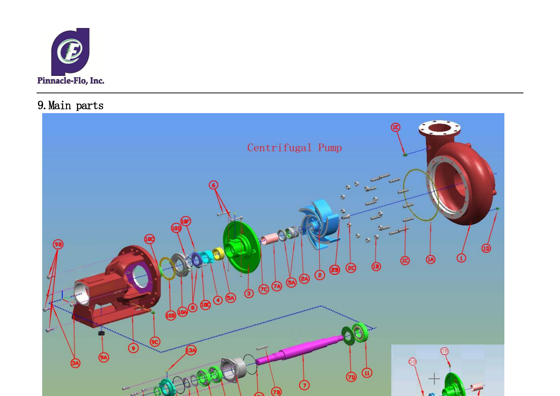

9.Main parts

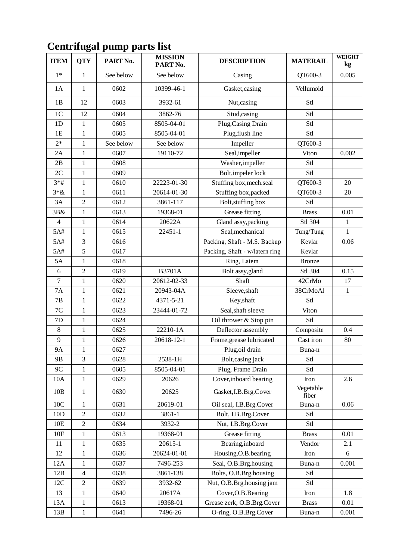| <b>ITEM</b>    | <b>QTY</b>     | PART No.  | <b>MISSION</b><br>PART No. | <b>DESCRIPTION</b>             | <b>MATERAIL</b>    | <b>WEIGHT</b><br>kg |
|----------------|----------------|-----------|----------------------------|--------------------------------|--------------------|---------------------|
| $1*$           | $\mathbf{1}$   | See below | See below                  | Casing                         | QT600-3            | 0.005               |
| 1A             | 1              | 0602      | 10399-46-1                 | Gasket, casing                 | Vellumoid          |                     |
| 1B             | 12             | 0603      | 3932-61                    | Nut, casing                    | Stl                |                     |
| 1 <sub>C</sub> | 12             | 0604      | 3862-76                    | Stud, casing                   | Stl                |                     |
| 1D             | 1              | 0605      | 8505-04-01                 | Plug, Casing Drain             | Stl                |                     |
| 1E             | $\mathbf{1}$   | 0605      | 8505-04-01                 | Plug, flush line               | Stl                |                     |
| $2*$           | $\mathbf{1}$   | See below | See below                  | Impeller                       | QT600-3            |                     |
| 2A             | 1              | 0607      | 19110-72                   | Seal, impeller                 | Viton              | 0.002               |
| 2B             | $\mathbf{1}$   | 0608      |                            | Washer,impeller                | Stl                |                     |
| 2C             | $\mathbf{1}$   | 0609      |                            | Bolt, impeler lock             | Stl                |                     |
| $3*#$          | $\mathbf{1}$   | 0610      | 22223-01-30                | Stuffing box, mech.seal        | QT600-3            | 20                  |
| $3 * \&$       | $\mathbf{1}$   | 0611      | 20614-01-30                | Stuffing box, packed           | QT600-3            | 20                  |
| 3A             | $\overline{2}$ | 0612      | 3861-117                   | Bolt, stuffing box             | Stl                |                     |
| 3B&            | 1              | 0613      | 19368-01                   | Grease fitting                 | <b>Brass</b>       | 0.01                |
| $\overline{4}$ | $\mathbf{1}$   | 0614      | 20622A                     | Gland assy, packing            | Stl 304            | $\mathbf{1}$        |
| 5A#            | 1              | 0615      | 22451-1                    | Seal, mechanical               | Tung/Tung          | 1                   |
| 5A#            | $\overline{3}$ | 0616      |                            | Packing, Shaft - M.S. Backup   | Kevlar             | 0.06                |
| 5A#            | 5              | 0617      |                            | Packing, Shaft - w/latern ring | Kevlar             |                     |
| 5A             | $\mathbf{1}$   | 0618      |                            | Ring, Latem                    | <b>Bronze</b>      |                     |
| 6              | $\overline{2}$ | 0619      | <b>B3701A</b>              | Bolt assy, gland               | Stl 304            | 0.15                |
| $\overline{7}$ | 1              | 0620      | 20612-02-33                | Shaft                          | 42CrMo             | 17                  |
| <b>7A</b>      | $\mathbf{1}$   | 0621      | 20943-04A                  | Sleeve, shaft                  | 38CrMoAl           | $\mathbf{1}$        |
| 7B             | $\mathbf{1}$   | 0622      | 4371-5-21                  | Key, shaft                     | Stl                |                     |
| 7C             | $\mathbf{1}$   | 0623      | 23444-01-72                | Seal, shaft sleeve             | Viton              |                     |
| 7D             | $\mathbf{1}$   | 0624      |                            | Oil thrower & Stop pin         | Stl                |                     |
| $8\,$          | $\mathbf{1}$   | 0625      | 22210-1A                   | Deflector assembly             | Composite          | 0.4                 |
| 9              | $\mathbf{1}$   | 0626      | 20618-12-1                 | Frame, grease lubricated       | Cast iron          | 80                  |
| <b>9A</b>      | $\mathbf{1}$   | 0627      |                            | Plug,oil drain                 | Buna-n             |                     |
| 9B             | 3              | 0628      | 2538-1H                    | Bolt, casing jack              | Stl                |                     |
| 9C             | $\mathbf{1}$   | 0605      | 8505-04-01                 | Plug, Frame Drain              | Stl                |                     |
| 10A            | $\mathbf{1}$   | 0629      | 20626                      | Cover, inboard bearing         | Iron               | 2.6                 |
| 10B            | $\mathbf{1}$   | 0630      | 20625                      | Gasket, I.B.Brg.Cover          | Vegetable<br>fiber |                     |
| 10C            | $\mathbf{1}$   | 0631      | 20619-01                   | Oil seal, I.B.Brg.Cover        | Buna-n             | 0.06                |
| 10D            | $\overline{2}$ | 0632      | 3861-1                     | Bolt, I.B.Brg.Cover            | Stl                |                     |
| 10E            | $\overline{2}$ | 0634      | 3932-2                     | Nut, I.B.Brg.Cover             | Stl                |                     |
| 10F            | $\mathbf{1}$   | 0613      | 19368-01                   | Grease fitting                 | <b>Brass</b>       | 0.01                |
| 11             | 1              | 0635      | 20615-1                    | Bearing, inboard               | Vendor             | 2.1                 |
| 12             | $\mathbf{1}$   | 0636      | 20624-01-01                | Housing, O.B. bearing          | Iron               | 6                   |
| 12A            | 1              | 0637      | 7496-253                   | Seal, O.B.Brg.housing          | Buna-n             | 0.001               |
| 12B            | $\overline{4}$ | 0638      | 3861-138                   | Bolts, O.B.Brg.housing         | Stl                |                     |
| 12C            | $\overline{2}$ | 0639      | 3932-62                    | Nut, O.B.Brg.housing jam       | Stl                |                     |
| 13             | $\mathbf{1}$   | 0640      | 20617A                     | Cover, O.B. Bearing            | Iron               | 1.8                 |
| 13A            | 1              | 0613      | 19368-01                   | Grease zerk, O.B.Brg.Cover     | <b>Brass</b>       | 0.01                |
| 13B            | $\mathbf{1}$   | 0641      | 7496-26                    | O-ring, O.B.Brg.Cover          | Buna-n             | 0.001               |

## **Centrifugal pump parts list**